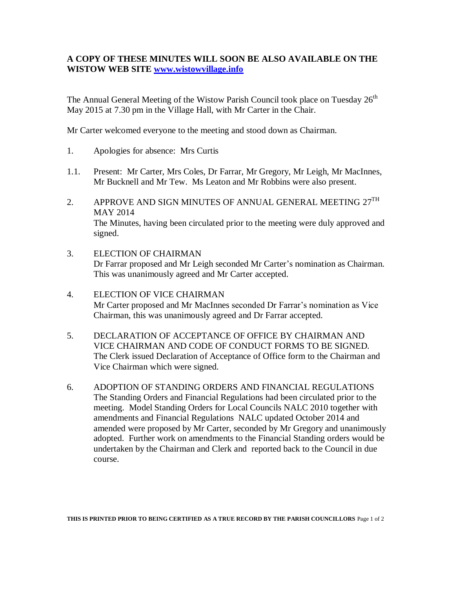## **A COPY OF THESE MINUTES WILL SOON BE ALSO AVAILABLE ON THE WISTOW WEB SITE [www.wistowvillage.info](http://www.wistowvillage.info/)**

The Annual General Meeting of the Wistow Parish Council took place on Tuesday 26<sup>th</sup> May 2015 at 7.30 pm in the Village Hall, with Mr Carter in the Chair.

Mr Carter welcomed everyone to the meeting and stood down as Chairman.

- 1. Apologies for absence: Mrs Curtis
- 1.1. Present: Mr Carter, Mrs Coles, Dr Farrar, Mr Gregory, Mr Leigh, Mr MacInnes, Mr Bucknell and Mr Tew. Ms Leaton and Mr Robbins were also present.
- 2. APPROVE AND SIGN MINUTES OF ANNUAL GENERAL MEETING  $27^{\text{TH}}$ MAY 2014 The Minutes, having been circulated prior to the meeting were duly approved and signed.
- 3. ELECTION OF CHAIRMAN Dr Farrar proposed and Mr Leigh seconded Mr Carter's nomination as Chairman. This was unanimously agreed and Mr Carter accepted.
- 4. ELECTION OF VICE CHAIRMAN Mr Carter proposed and Mr MacInnes seconded Dr Farrar's nomination as Vice Chairman, this was unanimously agreed and Dr Farrar accepted.
- 5. DECLARATION OF ACCEPTANCE OF OFFICE BY CHAIRMAN AND VICE CHAIRMAN AND CODE OF CONDUCT FORMS TO BE SIGNED. The Clerk issued Declaration of Acceptance of Office form to the Chairman and Vice Chairman which were signed.
- 6. ADOPTION OF STANDING ORDERS AND FINANCIAL REGULATIONS The Standing Orders and Financial Regulations had been circulated prior to the meeting. Model Standing Orders for Local Councils NALC 2010 together with amendments and Financial Regulations NALC updated October 2014 and amended were proposed by Mr Carter, seconded by Mr Gregory and unanimously adopted. Further work on amendments to the Financial Standing orders would be undertaken by the Chairman and Clerk and reported back to the Council in due course.